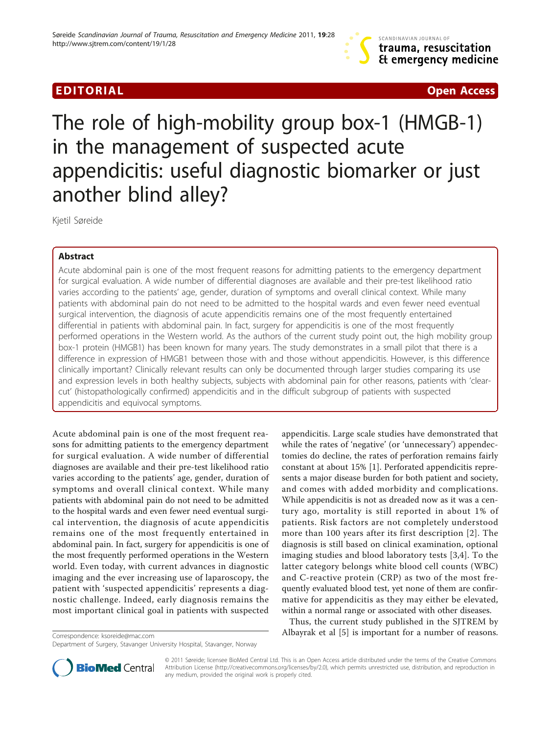

EDITORIAL CONTRACT CONTRACT CONTRACT CONTRACT CONTRACT CONTRACT CONTRACT CONTRACT CONTRACT CONTRACT CONTRACT CO

# The role of high-mobility group box-1 (HMGB-1) in the management of suspected acute appendicitis: useful diagnostic biomarker or just another blind alley?

Kjetil Søreide

# Abstract

Acute abdominal pain is one of the most frequent reasons for admitting patients to the emergency department for surgical evaluation. A wide number of differential diagnoses are available and their pre-test likelihood ratio varies according to the patients' age, gender, duration of symptoms and overall clinical context. While many patients with abdominal pain do not need to be admitted to the hospital wards and even fewer need eventual surgical intervention, the diagnosis of acute appendicitis remains one of the most frequently entertained differential in patients with abdominal pain. In fact, surgery for appendicitis is one of the most frequently performed operations in the Western world. As the authors of the current study point out, the high mobility group box-1 protein (HMGB1) has been known for many years. The study demonstrates in a small pilot that there is a difference in expression of HMGB1 between those with and those without appendicitis. However, is this difference clinically important? Clinically relevant results can only be documented through larger studies comparing its use and expression levels in both healthy subjects, subjects with abdominal pain for other reasons, patients with 'clearcut' (histopathologically confirmed) appendicitis and in the difficult subgroup of patients with suspected appendicitis and equivocal symptoms.

Acute abdominal pain is one of the most frequent reasons for admitting patients to the emergency department for surgical evaluation. A wide number of differential diagnoses are available and their pre-test likelihood ratio varies according to the patients' age, gender, duration of symptoms and overall clinical context. While many patients with abdominal pain do not need to be admitted to the hospital wards and even fewer need eventual surgical intervention, the diagnosis of acute appendicitis remains one of the most frequently entertained in abdominal pain. In fact, surgery for appendicitis is one of the most frequently performed operations in the Western world. Even today, with current advances in diagnostic imaging and the ever increasing use of laparoscopy, the patient with 'suspected appendicitis' represents a diagnostic challenge. Indeed, early diagnosis remains the most important clinical goal in patients with suspected

appendicitis. Large scale studies have demonstrated that while the rates of 'negative' (or 'unnecessary') appendectomies do decline, the rates of perforation remains fairly constant at about 15% [\[1](#page-1-0)]. Perforated appendicitis represents a major disease burden for both patient and society, and comes with added morbidity and complications. While appendicitis is not as dreaded now as it was a century ago, mortality is still reported in about 1% of patients. Risk factors are not completely understood more than 100 years after its first description [[2\]](#page-1-0). The diagnosis is still based on clinical examination, optional imaging studies and blood laboratory tests [[3,4](#page-1-0)]. To the latter category belongs white blood cell counts (WBC) and C-reactive protein (CRP) as two of the most frequently evaluated blood test, yet none of them are confirmative for appendicitis as they may either be elevated, within a normal range or associated with other diseases.

Thus, the current study published in the SJTREM by Albayrak et al [\[5](#page-1-0)] is important for a number of reasons. Correspondence: [ksoreide@mac.com](mailto:ksoreide@mac.com)



© 2011 Søreide; licensee BioMed Central Ltd. This is an Open Access article distributed under the terms of the Creative Commons Attribution License [\(http://creativecommons.org/licenses/by/2.0](http://creativecommons.org/licenses/by/2.0)), which permits unrestricted use, distribution, and reproduction in any medium, provided the original work is properly cited.

Department of Surgery, Stavanger University Hospital, Stavanger, Norway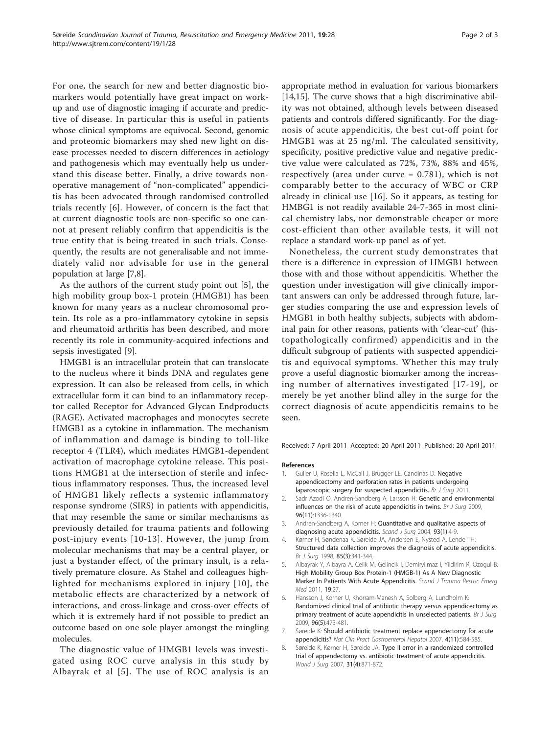<span id="page-1-0"></span>For one, the search for new and better diagnostic biomarkers would potentially have great impact on workup and use of diagnostic imaging if accurate and predictive of disease. In particular this is useful in patients whose clinical symptoms are equivocal. Second, genomic and proteomic biomarkers may shed new light on disease processes needed to discern differences in aetiology and pathogenesis which may eventually help us understand this disease better. Finally, a drive towards nonoperative management of "non-complicated" appendicitis has been advocated through randomised controlled trials recently [6]. However, of concern is the fact that at current diagnostic tools are non-specific so one cannot at present reliably confirm that appendicitis is the true entity that is being treated in such trials. Consequently, the results are not generalisable and not immediately valid nor advisable for use in the general population at large [7,8].

As the authors of the current study point out [5], the high mobility group box-1 protein (HMGB1) has been known for many years as a nuclear chromosomal protein. Its role as a pro-inflammatory cytokine in sepsis and rheumatoid arthritis has been described, and more recently its role in community-acquired infections and sepsis investigated [[9\]](#page-2-0).

HMGB1 is an intracellular protein that can translocate to the nucleus where it binds DNA and regulates gene expression. It can also be released from cells, in which extracellular form it can bind to an inflammatory receptor called Receptor for Advanced Glycan Endproducts (RAGE). Activated macrophages and monocytes secrete HMGB1 as a cytokine in inflammation. The mechanism of inflammation and damage is binding to toll-like receptor 4 (TLR4), which mediates HMGB1-dependent activation of macrophage cytokine release. This positions HMGB1 at the intersection of sterile and infectious inflammatory responses. Thus, the increased level of HMGB1 likely reflects a systemic inflammatory response syndrome (SIRS) in patients with appendicitis, that may resemble the same or similar mechanisms as previously detailed for trauma patients and following post-injury events [[10](#page-2-0)-[13\]](#page-2-0). However, the jump from molecular mechanisms that may be a central player, or just a bystander effect, of the primary insult, is a relatively premature closure. As Stahel and colleagues highlighted for mechanisms explored in injury [[10\]](#page-2-0), the metabolic effects are characterized by a network of interactions, and cross-linkage and cross-over effects of which it is extremely hard if not possible to predict an outcome based on one sole player amongst the mingling molecules.

The diagnostic value of HMGB1 levels was investigated using ROC curve analysis in this study by Albayrak et al [5]. The use of ROC analysis is an

appropriate method in evaluation for various biomarkers [[14,15\]](#page-2-0). The curve shows that a high discriminative ability was not obtained, although levels between diseased patients and controls differed significantly. For the diagnosis of acute appendicitis, the best cut-off point for HMGB1 was at 25 ng/ml. The calculated sensitivity, specificity, positive predictive value and negative predictive value were calculated as 72%, 73%, 88% and 45%, respectively (area under curve  $= 0.781$ ), which is not comparably better to the accuracy of WBC or CRP already in clinical use [\[16\]](#page-2-0). So it appears, as testing for HMBG1 is not readily available 24-7-365 in most clinical chemistry labs, nor demonstrable cheaper or more cost-efficient than other available tests, it will not replace a standard work-up panel as of yet.

Nonetheless, the current study demonstrates that there is a difference in expression of HMGB1 between those with and those without appendicitis. Whether the question under investigation will give clinically important answers can only be addressed through future, larger studies comparing the use and expression levels of HMGB1 in both healthy subjects, subjects with abdominal pain for other reasons, patients with 'clear-cut' (histopathologically confirmed) appendicitis and in the difficult subgroup of patients with suspected appendicitis and equivocal symptoms. Whether this may truly prove a useful diagnostic biomarker among the increasing number of alternatives investigated [[17](#page-2-0)-[19\]](#page-2-0), or merely be yet another blind alley in the surge for the correct diagnosis of acute appendicitis remains to be seen.

Received: 7 April 2011 Accepted: 20 April 2011 Published: 20 April 2011

#### References

- 1. Guller U, Rosella L, McCall J, Brugger LE, Candinas D: Negative appendicectomy and perforation rates in patients undergoing laparoscopic surgery for suspected appendicitis. Br J Surg 2011
- 2. Sadr Azodi O, Andren-Sandberg A, Larsson H: [Genetic and environmental](http://www.ncbi.nlm.nih.gov/pubmed/19847874?dopt=Abstract) [influences on the risk of acute appendicitis in twins.](http://www.ncbi.nlm.nih.gov/pubmed/19847874?dopt=Abstract) Br J Surg 2009, 96(11):1336-1340.
- 3. Andren-Sandberg A, Korner H: [Quantitative and qualitative aspects of](http://www.ncbi.nlm.nih.gov/pubmed/15116812?dopt=Abstract) [diagnosing acute appendicitis.](http://www.ncbi.nlm.nih.gov/pubmed/15116812?dopt=Abstract) Scand J Surg 2004, 93(1):4-9.
- 4. Kørner H, Søndenaa K, Søreide JA, Andersen E, Nysted A, Lende TH: [Structured data collection improves the diagnosis of acute appendicitis.](http://www.ncbi.nlm.nih.gov/pubmed/9529488?dopt=Abstract) Br J Surg 1998, 85(3):341-344.
- 5. Albayrak Y, Albayra A, Celik M, Gelincik I, Demiryilmaz I, Yildirim R, Ozogul B: [High Mobility Group Box Protein-1 \(HMGB-1\) As A New Diagnostic](http://www.ncbi.nlm.nih.gov/pubmed/21507210?dopt=Abstract) [Marker In Patients With Acute Appendicitis.](http://www.ncbi.nlm.nih.gov/pubmed/21507210?dopt=Abstract) Scand J Trauma Resusc Emerg Med 2011, 19:27.
- 6. Hansson J, Korner U, Khorram-Manesh A, Solberg A, Lundholm K: [Randomized clinical trial of antibiotic therapy versus appendicectomy as](http://www.ncbi.nlm.nih.gov/pubmed/19358184?dopt=Abstract) [primary treatment of acute appendicitis in unselected patients.](http://www.ncbi.nlm.nih.gov/pubmed/19358184?dopt=Abstract) Br J Surg 2009, 96(5):473-481.
- 7. Søreide K: [Should antibiotic treatment replace appendectomy for acute](http://www.ncbi.nlm.nih.gov/pubmed/17909543?dopt=Abstract) [appendicitis?](http://www.ncbi.nlm.nih.gov/pubmed/17909543?dopt=Abstract) Nat Clin Pract Gastroenterol Hepatol 2007, 4(11):584-585.
- 8. Søreide K, Kørner H, Søreide JA: [Type II error in a randomized controlled](http://www.ncbi.nlm.nih.gov/pubmed/17361352?dopt=Abstract) [trial of appendectomy vs. antibiotic treatment of acute appendicitis.](http://www.ncbi.nlm.nih.gov/pubmed/17361352?dopt=Abstract) World J Surg 2007, 31(4):871-872.